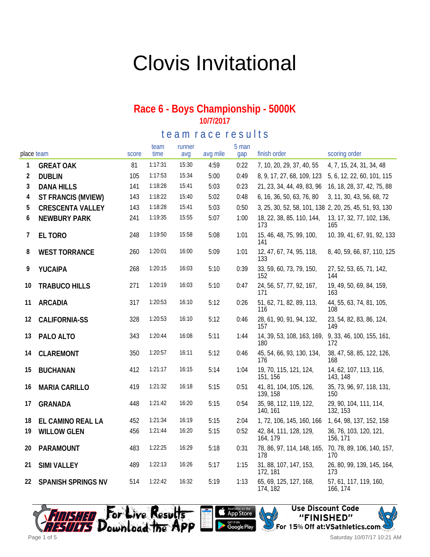# Clovis Invitational

#### **Race 6 - Boys Championship - 5000K 10/7/2017**

te a m r a c e r e sults

| place team |                         | score | team<br>time | runner<br>avq | avg mile | 5 man<br>gap | finish order                                           | scoring order                      |
|------------|-------------------------|-------|--------------|---------------|----------|--------------|--------------------------------------------------------|------------------------------------|
| 1          | <b>GREAT OAK</b>        | 81    | 1:17:31      | 15:30         | 4:59     | 0:22         | 7, 10, 20, 29, 37, 40, 55                              | 4, 7, 15, 24, 31, 34, 48           |
| 2          | <b>DUBLIN</b>           | 105   | 1:17:53      | 15:34         | 5:00     | 0:49         | 8, 9, 17, 27, 68, 109, 123                             | 5, 6, 12, 22, 60, 101, 115         |
| 3          | <b>DANA HILLS</b>       | 141   | 1:18:28      | 15:41         | 5:03     | 0:23         | 21, 23, 34, 44, 49, 83, 96                             | 16, 18, 28, 37, 42, 75, 88         |
| 4          | ST FRANCIS (MVIEW)      | 143   | 1:18:22      | 15:40         | 5:02     | 0:48         | 6, 16, 36, 50, 63, 76, 80                              | 3, 11, 30, 43, 56, 68, 72          |
| 5          | <b>CRESCENTA VALLEY</b> | 143   | 1:18:28      | 15:41         | 5:03     | 0:50         | 3, 25, 30, 52, 58, 101, 138 2, 20, 25, 45, 51, 93, 130 |                                    |
| 6          | <b>NEWBURY PARK</b>     | 241   | 1:19:35      | 15:55         | 5:07     | 1:00         | 18, 22, 38, 85, 110, 144,<br>173                       | 13, 17, 32, 77, 102, 136,<br>165   |
| 7          | EL TORO                 | 248   | 1:19:50      | 15:58         | 5:08     | 1:01         | 15, 46, 48, 75, 99, 100,<br>141                        | 10, 39, 41, 67, 91, 92, 133        |
| 8          | <b>WEST TORRANCE</b>    | 260   | 1:20:01      | 16:00         | 5:09     | 1:01         | 12, 47, 67, 74, 95, 118,<br>133                        | 8, 40, 59, 66, 87, 110, 125        |
| 9          | YUCAIPA                 | 268   | 1:20:15      | 16:03         | 5:10     | 0:39         | 33, 59, 60, 73, 79, 150,<br>152                        | 27, 52, 53, 65, 71, 142,<br>144    |
| 10         | <b>TRABUCO HILLS</b>    | 271   | 1:20:19      | 16:03         | 5:10     | 0:47         | 24, 56, 57, 77, 92, 167,<br>171                        | 19, 49, 50, 69, 84, 159,<br>163    |
| 11         | <b>ARCADIA</b>          | 317   | 1:20:53      | 16:10         | 5:12     | 0:26         | 51, 62, 71, 82, 89, 113,<br>116                        | 44, 55, 63, 74, 81, 105,<br>108    |
| 12         | <b>CALIFORNIA-SS</b>    | 328   | 1:20:53      | 16:10         | 5:12     | 0:46         | 28, 61, 90, 91, 94, 132,<br>157                        | 23, 54, 82, 83, 86, 124,<br>149    |
| 13         | PALO ALTO               | 343   | 1:20:44      | 16:08         | 5:11     | 1:44         | 14, 39, 53, 108, 163, 169,<br>180                      | 9, 33, 46, 100, 155, 161,<br>172   |
| 14         | CLAREMONT               | 350   | 1:20:57      | 16:11         | 5:12     | 0:46         | 45, 54, 66, 93, 130, 134,<br>176                       | 38, 47, 58, 85, 122, 126,<br>168   |
| 15         | <b>BUCHANAN</b>         | 412   | 1:21:17      | 16:15         | 5:14     | 1:04         | 19, 70, 115, 121, 124,<br>151, 156                     | 14, 62, 107, 113, 116,<br>143, 148 |
| 16         | <b>MARIA CARILLO</b>    | 419   | 1:21:32      | 16:18         | 5:15     | 0:51         | 41, 81, 104, 105, 126,<br>139, 158                     | 35, 73, 96, 97, 118, 131,<br>150   |
| 17         | <b>GRANADA</b>          | 448   | 1:21:42      | 16:20         | 5:15     | 0:54         | 35, 98, 112, 119, 122,<br>140, 161                     | 29, 90, 104, 111, 114,<br>132, 153 |
| 18         | EL CAMINO REAL LA       | 452   | 1:21:34      | 16:19         | 5:15     | 2:04         | 1, 72, 106, 145, 160, 166                              | 1, 64, 98, 137, 152, 158           |
| 19         | <b>WILLOW GLEN</b>      | 456   | 1:21:44      | 16:20         | 5:15     | 0:52         | 42, 84, 111, 128, 129,<br>164, 179                     | 36, 76, 103, 120, 121,<br>156, 171 |
| 20         | PARAMOUNT               | 483   | 1:22:25      | 16:29         | 5:18     | 0:31         | 78, 86, 97, 114, 148, 165,<br>178                      | 70, 78, 89, 106, 140, 157,<br>170  |
| 21         | <b>SIMI VALLEY</b>      | 489   | 1:22:13      | 16:26         | 5:17     | 1:15         | 31, 88, 107, 147, 153,<br>172, 181                     | 26, 80, 99, 139, 145, 164,<br>173  |
| 22         | SPANISH SPRINGS NV      | 514   | 1:22:42      | 16:32         | 5:19     | 1:13         | 65, 69, 125, 127, 168,<br>174, 182                     | 57, 61, 117, 119, 160,<br>166, 174 |







Saturday 10/07/17 10:21 AM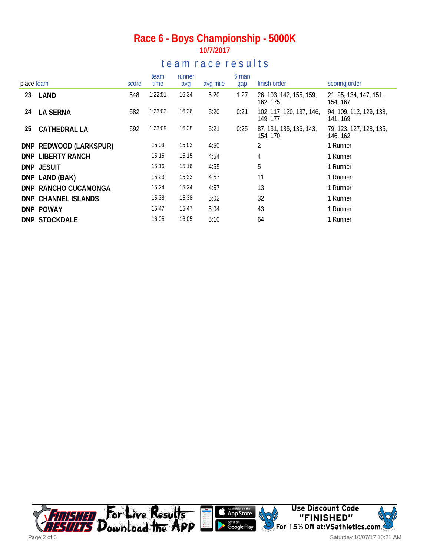### **Race 6 - Boys Championship - 5000K 10/7/2017**

### te a m r a c e r e s ults

| place team |                        |       | team    | runner |          | 5 man | finish order                         | scoring order                       |  |
|------------|------------------------|-------|---------|--------|----------|-------|--------------------------------------|-------------------------------------|--|
|            |                        | score | time    | avg    | avg mile | gap   |                                      |                                     |  |
| 23         | LAND                   | 548   | 1:22:51 | 16:34  | 5:20     | 1:27  | 26, 103, 142, 155, 159,<br>162, 175  | 21, 95, 134, 147, 151,<br>154, 167  |  |
| 24         | <b>LA SERNA</b>        | 582   | 1:23:03 | 16:36  | 5:20     | 0:21  | 102, 117, 120, 137, 146,<br>149, 177 | 94, 109, 112, 129, 138,<br>141, 169 |  |
| 25         | CATHEDRAL LA           | 592   | 1:23:09 | 16:38  | 5:21     | 0:25  | 87, 131, 135, 136, 143,<br>154, 170  | 79, 123, 127, 128, 135,<br>146, 162 |  |
|            | DNP REDWOOD (LARKSPUR) |       | 15:03   | 15:03  | 4:50     |       | 2                                    | 1 Runner                            |  |
|            | DNP LIBERTY RANCH      |       | 15:15   | 15:15  | 4:54     |       | 4                                    | 1 Runner                            |  |
|            | DNP JESUIT             |       | 15:16   | 15:16  | 4:55     |       | 5                                    | 1 Runner                            |  |
|            | DNP LAND (BAK)         |       | 15:23   | 15:23  | 4:57     |       | 11                                   | 1 Runner                            |  |
|            | DNP RANCHO CUCAMONGA   |       | 15:24   | 15:24  | 4:57     |       | 13                                   | 1 Runner                            |  |
|            | DNP CHANNEL ISLANDS    |       | 15:38   | 15:38  | 5:02     |       | 32                                   | 1 Runner                            |  |
|            | DNP POWAY              |       | 15:47   | 15:47  | 5:04     |       | 43                                   | 1 Runner                            |  |
|            | <b>DNP STOCKDALE</b>   |       | 16:05   | 16:05  | 5:10     |       | 64                                   | 1 Runner                            |  |

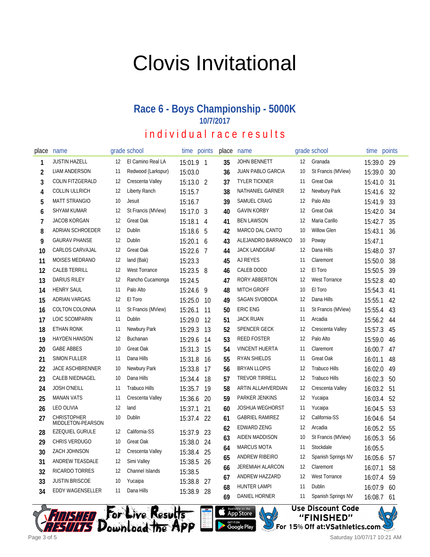# Clovis Invitational

### **Race 6 - Boys Championship - 5000K 10/7/2017**

individual race results

| place | name                                    |    | grade school         | time points |                | place | name                     |                   | grade school         | time points |    |
|-------|-----------------------------------------|----|----------------------|-------------|----------------|-------|--------------------------|-------------------|----------------------|-------------|----|
| 1     | <b>JUSTIN HAZELL</b>                    | 12 | El Camino Real LA    | 15:01.9 1   |                | 35    | <b>JOHN BENNETT</b>      | $12 \overline{ }$ | Granada              | 15:39.0     | 29 |
| 2     | <b>LIAM ANDERSON</b>                    | 11 | Redwood (Larkspur)   | 15:03.0     |                | 36    | <b>JUAN PABLO GARCIA</b> | 10                | St Francis (MView)   | 15:39.0     | 30 |
| 3     | COLIN FITZGERALD                        | 12 | Crescenta Valley     | 15:13.0 2   |                | 37    | <b>TYLER TICKNER</b>     | 11                | Great Oak            | 15:41.0     | 31 |
| 4     | <b>COLLIN ULLRICH</b>                   | 12 | Liberty Ranch        | 15:15.7     |                | 38    | NATHANIEL GARNER         | 12                | Newbury Park         | 15:41.6     | 32 |
| 5     | <b>MATT STRANGIO</b>                    | 10 | Jesuit               | 15:16.7     |                | 39    | SAMUEL CRAIG             | 12                | Palo Alto            | 15:41.9     | 33 |
| 6     | <b>SHYAM KUMAR</b>                      | 12 | St Francis (MView)   | 15:17.0     | 3              | 40    | <b>GAVIN KORBY</b>       | 12                | Great Oak            | 15:42.0     | 34 |
| 7     | <b>JACOB KORGAN</b>                     | 12 | Great Oak            | 15:18.1     | $\overline{4}$ | 41    | <b>BEN LAWSON</b>        | 12                | Maria Carillo        | 15:42.7     | 35 |
| 8     | ADRIAN SCHROEDER                        | 12 | Dublin               | 15:18.6     | 5              | 42    | MARCO DAL CANTO          | 10                | <b>Willow Glen</b>   | 15:43.1     | 36 |
| 9     | <b>GAURAV PHANSE</b>                    | 12 | Dublin               | 15:20.1 6   |                | 43    | ALEJANDRO BARRANCO       | 10                | Poway                | 15:47.1     |    |
| 10    | CARLOS CARVAJAL                         | 12 | Great Oak            | 15:22.6     | 7              | 44    | <b>JACK LANDGRAF</b>     | 12                | Dana Hills           | 15:48.0     | 37 |
| 11    | <b>MOISES MEDRANO</b>                   | 12 | land (Bak)           | 15:23.3     |                | 45    | AJ REYES                 | 11                | Claremont            | 15:50.0     | 38 |
| 12    | <b>CALEB TERRILL</b>                    | 12 | <b>West Torrance</b> | 15:23.5     | 8              | 46    | CALEB DODD               | 12                | El Toro              | 15:50.5     | 39 |
| 13    | <b>DARIUS RILEY</b>                     | 12 | Rancho Cucamonga     | 15:24.5     |                | 47    | RORY ABBERTON            | 12                | <b>West Torrance</b> | 15:52.8     | 40 |
| 14    | <b>HENRY SAUL</b>                       | 11 | Palo Alto            | 15:24.6     | 9              | 48    | <b>MITCH GROFF</b>       | 10                | El Toro              | 15:54.3     | 41 |
| 15    | <b>ADRIAN VARGAS</b>                    | 12 | El Toro              | 15:25.0     | 10             | 49    | SAGAN SVOBODA            | 12                | Dana Hills           | 15:55.1     | 42 |
| 16    | <b>COLTON COLONNA</b>                   | 11 | St Francis (MView)   | 15:26.1     | 11             | 50    | <b>ERIC ENG</b>          | 11                | St Francis (MView)   | 15:55.4     | 43 |
| 17    | LOIC SCOMPARIN                          | 11 | Dublin               | 15:29.0     | 12             | 51    | <b>JACK RUAN</b>         | 11                | Arcadia              | 15:56.2     | 44 |
| 18    | <b>ETHAN RONK</b>                       | 11 | Newbury Park         | 15:29.3     | 13             | 52    | <b>SPENCER GECK</b>      | 12                | Crescenta Valley     | 15:57.3     | 45 |
| 19    | <b>HAYDEN HANSON</b>                    | 12 | Buchanan             | 15:29.6     | 14             | 53    | <b>REED FOSTER</b>       | 12                | Palo Alto            | 15:59.0     | 46 |
| 20    | <b>GABE ABBES</b>                       | 10 | <b>Great Oak</b>     | 15:31.3     | 15             | 54    | <b>VINCENT HUERTA</b>    | 11                | Claremont            | 16:00.7     | 47 |
| 21    | <b>SIMON FULLER</b>                     | 11 | Dana Hills           | 15:31.8     | 16             | 55    | <b>RYAN SHIELDS</b>      | 11                | Great Oak            | 16:01.1     | 48 |
| 22    | <b>JACE ASCHBRENNER</b>                 | 10 | Newbury Park         | 15:33.8     | 17             | 56    | <b>BRYAN LLOPIS</b>      | 12                | <b>Trabuco Hills</b> | 16:02.0     | 49 |
| 23    | <b>CALEB NIEDNAGEL</b>                  | 10 | Dana Hills           | 15:34.4     | 18             | 57    | <b>TREVOR TIRRELL</b>    | 12                | <b>Trabuco Hills</b> | 16:02.3     | 50 |
| 24    | <b>JOSH O'NEILL</b>                     | 11 | <b>Trabuco Hills</b> | 15:35.7     | 19             | 58    | ARTIN ALLAHVERDIAN       | 12                | Crescenta Valley     | 16:03.2     | 51 |
| 25    | <b>MANAN VATS</b>                       | 11 | Crescenta Valley     | 15:36.6     | 20             | 59    | PARKER JENKINS           | 12                | Yucaipa              | 16:03.4     | 52 |
| 26    | <b>LEO OLIVIA</b>                       | 12 | land                 | 15:37.1     | 21             | 60    | <b>JOSHUA WEGHORST</b>   | 11                | Yucaipa              | 16:04.5     | 53 |
| 27    | <b>CHRISTOPHER</b><br>MIDDLETON-PEARSON | 10 | Dublin               | 15:37.4 22  |                | 61    | <b>GABRIEL RAMIREZ</b>   | 12                | California-SS        | 16:04.6     | 54 |
| 28    | <b>EZEQUIEL GURULE</b>                  | 12 | California-SS        | 15:37.9 23  |                | 62    | <b>EDWARD ZENG</b>       | 12                | Arcadia              | 16:05.2     | 55 |
| 29    | CHRIS VERDUGO                           | 10 | Great Oak            | 15:38.0 24  |                | 63    | AIDEN MADDISON           | 10                | St Francis (MView)   | 16:05.3     | 56 |
| 30    | ZACH JOHNSON                            | 12 | Crescenta Valley     | 15:38.4     | 25             | 64    | <b>MARCUS MOTA</b>       | 11                | Stockdale            | 16:05.5     |    |
| 31    | ANDREW TEASDALE                         | 12 | Simi Valley          | 15:38.5     | 26             | 65    | ANDREW RIBEIRO           | 12                | Spanish Springs NV   | 16:05.6     | 57 |
| 32    | RICARDO TORRES                          | 12 | Channel Islands      | 15:38.5     |                | 66    | <b>JEREMIAH ALARCON</b>  | 12                | Claremont            | 16:07.1     | 58 |
| 33    | <b>JUSTIN BRISCOE</b>                   | 10 | Yucaipa              | 15:38.8     | 27             | 67    | ANDREW HAZZARD           | 12                | <b>West Torrance</b> | 16:07.4     | 59 |
| 34    | <b>EDDY WAGENSELLER</b>                 | 11 | Dana Hills           | 15:38.9     | 28             | 68    | <b>HUNTER LAMPI</b>      | 11                | Dublin               | 16:07.9     | 60 |
|       |                                         |    |                      |             |                | 69    | DANIEL HORNER            | 11                | Spanish Springs NV   | 16:08.7     | 61 |









Saturday 10/07/17 10:21 AM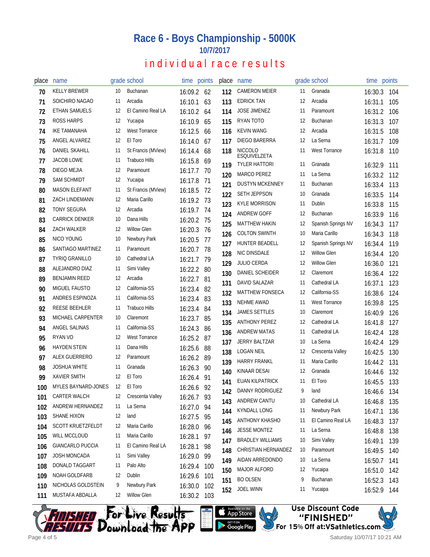### **Race 6 - Boys Championship - 5000K 10/7/2017**

### individual race results

| place | name                       |     | grade school         | time points |      | place | name                           |    | grade school         | time points            |            |
|-------|----------------------------|-----|----------------------|-------------|------|-------|--------------------------------|----|----------------------|------------------------|------------|
| 70    | <b>KELLY BREWER</b>        | 10  | Buchanan             | 16:09.2 62  |      | 112   | <b>CAMERON MEIER</b>           | 11 | Granada              | 16:30.3                | 104        |
| 71    | SOICHIRO NAGAO             | 11  | Arcadia              | 16:10.1     | 63   | 113   | <b>EDRICK TAN</b>              | 12 | Arcadia              | 16:31.1                | 105        |
| 72    | <b>ETHAN SAMUELS</b>       | 12  | El Camino Real LA    | 16:10.2     | 64   | 114   | <b>JOSE JIMENEZ</b>            | 11 | Paramount            | 16:31.2                | 106        |
| 73    | <b>ROSS HARPS</b>          | 12  | Yucaipa              | 16:10.9     | 65   | 115   | RYAN TOTO                      | 12 | Buchanan             | 16:31.3                | 107        |
| 74    | IKE TAMANAHA               | 12  | <b>West Torrance</b> | 16:12.5     | 66   | 116   | <b>KEVIN WANG</b>              | 12 | Arcadia              | 16:31.5                | 108        |
| 75    | ANGEL ALVAREZ              | 12  | El Toro              | 16:14.0     | 67   | 117   | DIEGO BARERRA                  | 12 | La Serna             | 16:31.7                | 109        |
| 76    | DANIEL SKAHILL             | 11  | St Francis (MView)   | 16:14.4     | 68   | 118   | <b>NICCOLO</b><br>ESQUIVELZETA | 11 | <b>West Torrance</b> | 16:31.8                | 110        |
| 77    | <b>JACOB LOWE</b>          | 11  | <b>Trabuco Hills</b> | 16:15.8     | 69   | 119   | <b>TYLER HATTORI</b>           | 11 | Granada              | 16:32.9                | 111        |
| 78    | DIEGO MEJIA                | 12  | Paramount            | 16:17.7     | 70   | 120   | <b>MARCO PEREZ</b>             | 11 | La Serna             | 16:33.2                | 112        |
| 79    | <b>SAM SCHMIDT</b>         | 12  | Yucaipa              | 16:17.8     | - 71 | 121   | <b>DUSTYN MCKENNEY</b>         | 11 | Buchanan             | 16:33.4                | 113        |
| 80    | <b>MASON ELEFANT</b>       | 11  | St Francis (MView)   | 16:18.5     | 72   | 122   | <b>SETH JEPPSON</b>            | 10 | Granada              | 16:33.5                | 114        |
| 81    | <b>ZACH LINDEMANN</b>      | 12  | Maria Carillo        | 16:19.2 73  |      | 123   | <b>KYLE MORRISON</b>           | 11 | Dublin               | 16:33.8                | 115        |
| 82    | <b>TONY SEGURA</b>         | 12  | Arcadia              | 16:19.7 74  |      | 124   | ANDREW GOFF                    | 12 | Buchanan             | 16:33.9                | 116        |
| 83    | <b>CARRICK DENKER</b>      | 10  | Dana Hills           | 16:20.2 75  |      | 125   | <b>MATTHEW HAKIN</b>           | 12 | Spanish Springs NV   | 16:34.3                | 117        |
| 84    | ZACH WALKER                | 12  | <b>Willow Glen</b>   | 16:20.3     | 76   | 126   | <b>COLTON SWINTH</b>           | 10 | Maria Carillo        | 16:34.3                | 118        |
| 85    | NICO YOUNG                 | 10  | Newbury Park         | 16:20.5     | -77  | 127   | HUNTER BEADELL                 | 12 | Spanish Springs NV   | 16:34.4                | 119        |
| 86    | SANTIAGO MARTINEZ          | 11  | Paramount            | 16:20.7     | 78   | 128   | NIC DINSDALE                   | 12 | <b>Willow Glen</b>   | 16:34.4                | 120        |
| 87    | <b>TYRIQ GRANILLO</b>      | 10  | Cathedral LA         | 16:21.7     | 79   | 129   | <b>JULIO CERDA</b>             | 12 | <b>Willow Glen</b>   | 16:36.0                | 121        |
| 88    | ALEJANDRO DIAZ             | 11  | Simi Valley          | 16:22.2     | 80   | 130   | DANIEL SCHEIDER                | 12 | Claremont            | 16:36.4                | 122        |
| 89    | <b>BENJAMIN REED</b>       | 12  | Arcadia              | 16:22.7     | -81  | 131   | DAVID SALAZAR                  | 11 | Cathedral LA         | 16:37.1                | 123        |
| 90    | <b>MIGUEL FAUSTO</b>       | 12  | California-SS        | 16:23.4     | 82   | 132   | <b>MATTHEW FONSECA</b>         | 12 | California-SS        | 16:38.6                | 124        |
| 91    | ANDRES ESPINOZA            | 11  | California-SS        | 16:23.4     | 83   | 133   | NEHME AWAD                     | 11 | <b>West Torrance</b> | 16:39.8                | 125        |
| 92    | <b>REESE BEEHLER</b>       | 11  | <b>Trabuco Hills</b> | 16:23.4     | 84   | 134   | <b>JAMES SETTLES</b>           | 10 | Claremont            | 16:40.9                | 126        |
| 93    | MICHAEL CARPENTER          | 10  | Claremont            | 16:23.7     | 85   | 135   | <b>ANTHONY PEREZ</b>           | 12 | Cathedral LA         | 16:41.8                | 127        |
| 94    | ANGEL SALINAS              | 11  | California-SS        | 16:24.3     | 86   | 136   | <b>ANDREW MATAS</b>            | 11 | Cathedral LA         | 16:42.4                | 128        |
| 95    | RYAN VO                    | 12  | <b>West Torrance</b> | 16:25.2     | 87   | 137   | <b>JERRY BALTZAR</b>           | 10 | La Serna             | 16:42.4                | 129        |
| 96    | <b>HAYDEN STEIN</b>        | -11 | Dana Hills           | 16:25.6     | 88   | 138   | <b>LOGAN NEIL</b>              | 12 | Crescenta Valley     | 16:42.5                | 130        |
| 97    | ALEX GUERRERO              | 12  | Paramount            | 16:26.2     | 89   | 139   | <b>HARRY FRANKL</b>            | 11 | Maria Carillo        | 16:44.2                | 131        |
| 98    | <b>JOSHUA WHITE</b>        | 11  | Granada              | 16:26.3     | 90   | 140   | KINAAR DESAI                   | 12 | Granada              | 16:44.6                | 132        |
| 99    | <b>XAVIER SMITH</b>        | 12  | El Toro              | 16:26.4     | 91   | 141   | EUAN KILPATRICK                | 11 | El Toro              | 16:45.5                | 133        |
| 100   | <b>MYLES BAYNARD-JONES</b> | 12  | El Toro              | 16:26.6     | 92   | 142   | DANNY RODRIGUEZ                | 9  | land                 | 16:46.6                | 134        |
| 101   | <b>CARTER WALCH</b>        | 12  | Crescenta Valley     | 16:26.7 93  |      | 143   | ANDREW CANTU                   | 10 | Cathedral LA         | 16:46.8                | 135        |
| 102   | ANDREW HERNANDEZ           | 11  | La Serna             | 16:27.0 94  |      | 144   | <b>KYNDALL LONG</b>            | 11 | Newbury Park         | 16:47.1                | 136        |
| 103   | <b>SHANE HIXON</b>         | 12  | land                 | 16:27.5     | 95   | 145   | ANTHONY KHASHO                 | 11 | El Camino Real LA    | 16:48.3                | 137        |
| 104   | SCOTT KRUETZFELDT          | 12  | Maria Carillo        | 16:28.0     | 96   | 146   | JESSE MONTEZ                   | 11 | La Serna             | 16:48.8                | 138        |
| 105   | WILL MCCLOUD               | 11  | Maria Carillo        | 16:28.1     | 97   | 147   | <b>BRADLEY WILLIAMS</b>        | 10 | Simi Valley          | 16:49.1                | 139        |
| 106   | GIANCARLO PUCCIA           | 11  | El Camino Real LA    | 16:28.1     | 98   | 148   | CHRISTIAN HERNANDEZ            | 10 | Paramount            | 16:49.5                |            |
| 107   | JOSH MONCADA               | 11  | Simi Valley          | 16:29.0     | 99   | 149   | AIDAN ARREDONDO                | 10 | La Serna             |                        | 140        |
| 108   | DONALD TAGGART             | 11  | Palo Alto            | 16:29.4     | 100  | 150   | <b>MAJOR ALFORD</b>            | 12 | Yucaipa              | 16:50.7<br>16:51.0     | 141<br>142 |
| 109   | NOAH GOLDFARB              | 12  | Dublin               | 16:29.6     | 101  | 151   | <b>BO OLSEN</b>                | 9  | Buchanan             |                        | 143        |
| 110   | NICHOLAS GOLDSTEIN         | 9   | Newbury Park         | 16:30.0     | 102  | 152   | <b>JOEL WINN</b>               | 11 | Yucaipa              | 16:52.3<br>16:52.9 144 |            |
| 111   | MUSTAFA ABDALLA            | 12  | <b>Willow Glen</b>   | 16:30.2 103 |      |       |                                |    |                      |                        |            |